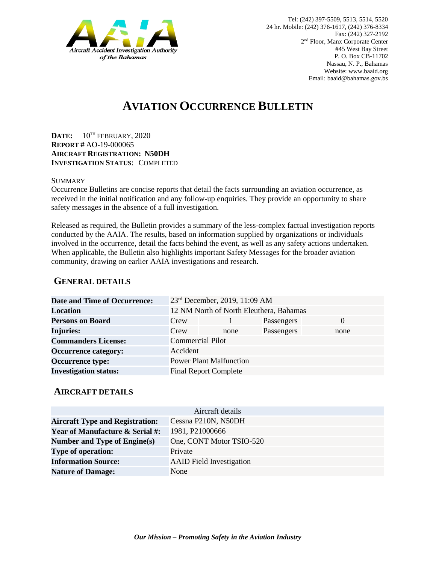

# **AVIATION OCCURRENCE BULLETIN**

**DATE:** 10TH FEBRUARY, 2020 **REPORT #** AO-19-000065 **AIRCRAFT REGISTRATION: N50DH INVESTIGATION STATUS**: COMPLETED

#### **SUMMARY**

Occurrence Bulletins are concise reports that detail the facts surrounding an aviation occurrence, as received in the initial notification and any follow-up enquiries. They provide an opportunity to share safety messages in the absence of a full investigation*.*

Released as required, the Bulletin provides a summary of the less-complex factual investigation reports conducted by the AAIA. The results, based on information supplied by organizations or individuals involved in the occurrence, detail the facts behind the event, as well as any safety actions undertaken. When applicable, the Bulletin also highlights important Safety Messages for the broader aviation community, drawing on earlier AAIA investigations and research.

### **GENERAL DETAILS**

| <b>Date and Time of Occurrence:</b> |                                         | 23 <sup>rd</sup> December, 2019, 11:09 AM |            |          |
|-------------------------------------|-----------------------------------------|-------------------------------------------|------------|----------|
| <b>Location</b>                     | 12 NM North of North Eleuthera, Bahamas |                                           |            |          |
| <b>Persons on Board</b>             | Crew                                    |                                           | Passengers | $\Omega$ |
| <b>Injuries:</b>                    | Crew                                    | none                                      | Passengers | none     |
| <b>Commanders License:</b>          | <b>Commercial Pilot</b>                 |                                           |            |          |
| <b>Occurrence category:</b>         | Accident                                |                                           |            |          |
| <b>Occurrence type:</b>             | <b>Power Plant Malfunction</b>          |                                           |            |          |
| <b>Investigation status:</b>        |                                         | <b>Final Report Complete</b>              |            |          |

#### **AIRCRAFT DETAILS**

| Aircraft details                           |                                 |  |  |  |
|--------------------------------------------|---------------------------------|--|--|--|
| <b>Aircraft Type and Registration:</b>     | Cessna P210N, N50DH             |  |  |  |
| <b>Year of Manufacture &amp; Serial #:</b> | 1981, P21000666                 |  |  |  |
| Number and Type of Engine(s)               | One, CONT Motor TSIO-520        |  |  |  |
| <b>Type of operation:</b>                  | Private                         |  |  |  |
| <b>Information Source:</b>                 | <b>AAID</b> Field Investigation |  |  |  |
| <b>Nature of Damage:</b>                   | None                            |  |  |  |